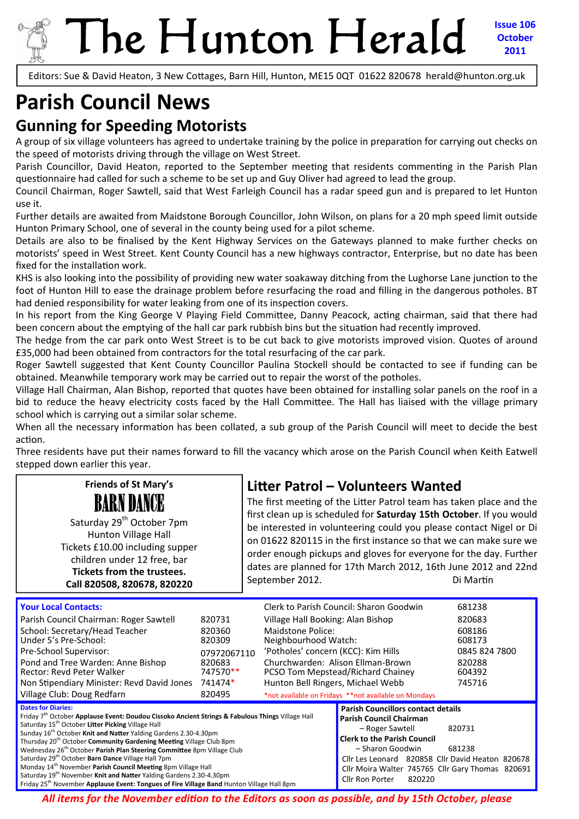# The Hunton Herald

**Issue 106 October 2011**

Editors: Sue & David Heaton, 3 New Cottages, Barn Hill, Hunton, ME15 0QT 01622 820678 herald@hunton.org.uk

## **Parish Council News**

#### **Gunning for Speeding Motorists**

A group of six village volunteers has agreed to undertake training by the police in preparation for carrying out checks on the speed of motorists driving through the village on West Street.

Parish Councillor, David Heaton, reported to the September meeting that residents commenting in the Parish Plan questionnaire had called for such a scheme to be set up and Guy Oliver had agreed to lead the group.

Council Chairman, Roger Sawtell, said that West Farleigh Council has a radar speed gun and is prepared to let Hunton use it.

Further details are awaited from Maidstone Borough Councillor, John Wilson, on plans for a 20 mph speed limit outside Hunton Primary School, one of several in the county being used for a pilot scheme.

Details are also to be finalised by the Kent Highway Services on the Gateways planned to make further checks on motorists' speed in West Street. Kent County Council has a new highways contractor, Enterprise, but no date has been fixed for the installation work.

KHS is also looking into the possibility of providing new water soakaway ditching from the Lughorse Lane junction to the foot of Hunton Hill to ease the drainage problem before resurfacing the road and filling in the dangerous potholes. BT had denied responsibility for water leaking from one of its inspection covers.

In his report from the King George V Playing Field Committee, Danny Peacock, acting chairman, said that there had been concern about the emptying of the hall car park rubbish bins but the situation had recently improved.

The hedge from the car park onto West Street is to be cut back to give motorists improved vision. Quotes of around £35,000 had been obtained from contractors for the total resurfacing of the car park.

Roger Sawtell suggested that Kent County Councillor Paulina Stockell should be contacted to see if funding can be obtained. Meanwhile temporary work may be carried out to repair the worst of the potholes.

Village Hall Chairman, Alan Bishop, reported that quotes have been obtained for installing solar panels on the roof in a bid to reduce the heavy electricity costs faced by the Hall Committee. The Hall has liaised with the village primary school which is carrying out a similar solar scheme.

When all the necessary information has been collated, a sub group of the Parish Council will meet to decide the best action.

Three residents have put their names forward to fill the vacancy which arose on the Parish Council when Keith Eatwell stepped down earlier this year.

#### **LiƩer Patrol – Volunteers Wanted**

BARN DANCE Saturday 29<sup>th</sup> October 7pm Hunton Village Hall Tickets £10.00 including supper children under 12 free, bar **Tickets from the trustees. Call 820508, 820678, 820220**

**Friends of St Mary's**

The first meeting of the Litter Patrol team has taken place and the first clean up is scheduled for **Saturday 15th October**. If you would be interested in volunteering could you please contact Nigel or Di on 01622 820115 in the first instance so that we can make sure we order enough pickups and gloves for everyone for the day. Further dates are planned for 17th March 2012, 16th June 2012 and 22nd September 2012. Di MarƟn

| <b>Your Local Contacts:</b>                                                                                                                                                                                                                                                                                                                                                                                                                                              |                    |                                                                        | Clerk to Parish Council: Sharon Goodwin                                                                                                                  | 681238           |
|--------------------------------------------------------------------------------------------------------------------------------------------------------------------------------------------------------------------------------------------------------------------------------------------------------------------------------------------------------------------------------------------------------------------------------------------------------------------------|--------------------|------------------------------------------------------------------------|----------------------------------------------------------------------------------------------------------------------------------------------------------|------------------|
| Parish Council Chairman: Roger Sawtell                                                                                                                                                                                                                                                                                                                                                                                                                                   | 820731             | Village Hall Booking: Alan Bishop                                      |                                                                                                                                                          | 820683           |
| School: Secretary/Head Teacher<br>Under 5's Pre-School:                                                                                                                                                                                                                                                                                                                                                                                                                  | 820360<br>820309   | Maidstone Police:<br>Neighbourhood Watch:                              |                                                                                                                                                          | 608186<br>608173 |
| Pre-School Supervisor:                                                                                                                                                                                                                                                                                                                                                                                                                                                   | 07972067110        | 'Potholes' concern (KCC): Kim Hills                                    |                                                                                                                                                          | 0845 824 7800    |
| Pond and Tree Warden: Anne Bishop<br>Rector: Revd Peter Walker                                                                                                                                                                                                                                                                                                                                                                                                           | 820683<br>747570** | Churchwarden: Alison Ellman-Brown<br>PCSO Tom Mepstead/Richard Chainey |                                                                                                                                                          | 820288<br>604392 |
| Non Stipendiary Minister: Revd David Jones                                                                                                                                                                                                                                                                                                                                                                                                                               | 741474*            | Hunton Bell Ringers, Michael Webb                                      |                                                                                                                                                          | 745716           |
|                                                                                                                                                                                                                                                                                                                                                                                                                                                                          |                    | *not available on Fridays **not available on Mondays                   |                                                                                                                                                          |                  |
| Village Club: Doug Redfarn                                                                                                                                                                                                                                                                                                                                                                                                                                               | 820495             |                                                                        |                                                                                                                                                          |                  |
| <b>Dates for Diaries:</b><br>Friday 7 <sup>th</sup> October Applause Event: Doudou Cissoko Ancient Strings & Fabulous Things Village Hall<br>Saturday 15 <sup>th</sup> October Litter Picking Village Hall<br>Sunday 16 <sup>th</sup> October Knit and Natter Yalding Gardens 2.30-4.30pm<br>Thursday 20 <sup>th</sup> October <b>Community Gardening Meeting</b> Village Club 8pm<br>Wednesday 26 <sup>th</sup> October Parish Plan Steering Committee 8pm Village Club |                    |                                                                        | <b>Parish Councillors contact details</b><br><b>Parish Council Chairman</b><br>- Roger Sawtell<br><b>Clerk to the Parish Council</b><br>- Sharon Goodwin | 820731<br>681238 |

*All items for the November ediƟon to the Editors as soon as possible, and by 15th October, please*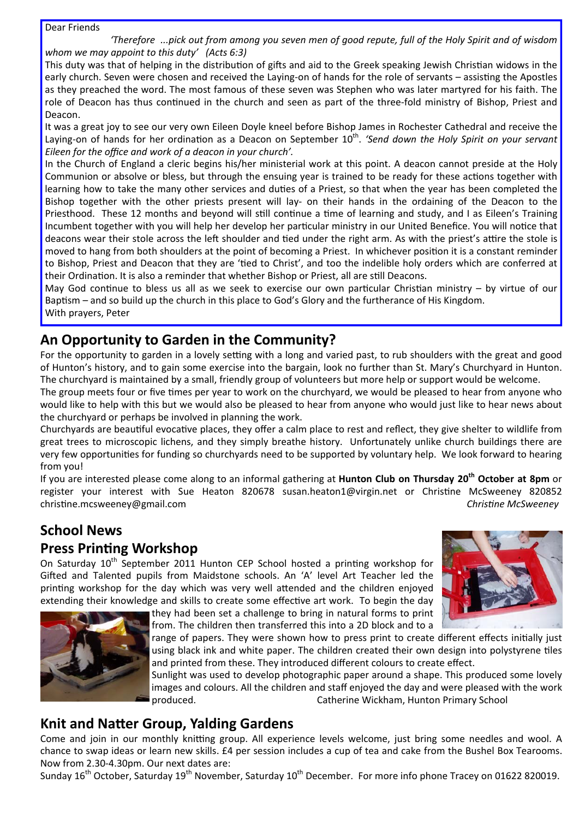#### Dear Friends

'Therefore ...pick out from among you seven men of good repute, full of the Holy Spirit and of wisdom *whom we may appoint to this duty' (Acts 6:3)*

This duty was that of helping in the distribution of gifts and aid to the Greek speaking Jewish Christian widows in the early church. Seven were chosen and received the Laying-on of hands for the role of servants – assisting the Apostles as they preached the word. The most famous of these seven was Stephen who was later martyred for his faith. The role of Deacon has thus continued in the church and seen as part of the three-fold ministry of Bishop, Priest and Deacon.

It was a great joy to see our very own Eileen Doyle kneel before Bishop James in Rochester Cathedral and receive the Laying‐on of hands for her ordinaƟon as a Deacon on September 10th. *'Send down the Holy Spirit on your servant Eileen for the office and work of a deacon in your church'.*

In the Church of England a cleric begins his/her ministerial work at this point. A deacon cannot preside at the Holy Communion or absolve or bless, but through the ensuing year is trained to be ready for these actions together with learning how to take the many other services and duties of a Priest, so that when the year has been completed the Bishop together with the other priests present will lay- on their hands in the ordaining of the Deacon to the Priesthood. These 12 months and beyond will still continue a time of learning and study, and I as Eileen's Training Incumbent together with you will help her develop her particular ministry in our United Benefice. You will notice that deacons wear their stole across the left shoulder and tied under the right arm. As with the priest's attire the stole is moved to hang from both shoulders at the point of becoming a Priest. In whichever position it is a constant reminder to Bishop, Priest and Deacon that they are 'tied to Christ', and too the indelible holy orders which are conferred at their Ordination. It is also a reminder that whether Bishop or Priest, all are still Deacons.

May God continue to bless us all as we seek to exercise our own particular Christian ministry  $-$  by virtue of our Baptism – and so build up the church in this place to God's Glory and the furtherance of His Kingdom. With prayers, Peter

#### **An Opportunity to Garden in the Community?**

For the opportunity to garden in a lovely setting with a long and varied past, to rub shoulders with the great and good of Hunton's history, and to gain some exercise into the bargain, look no further than St. Mary's Churchyard in Hunton. The churchyard is maintained by a small, friendly group of volunteers but more help or support would be welcome.

The group meets four or five times per year to work on the churchyard, we would be pleased to hear from anyone who would like to help with this but we would also be pleased to hear from anyone who would just like to hear news about the churchyard or perhaps be involved in planning the work.

Churchyards are beautiful evocative places, they offer a calm place to rest and reflect, they give shelter to wildlife from great trees to microscopic lichens, and they simply breathe history. Unfortunately unlike church buildings there are very few opportunities for funding so churchyards need to be supported by voluntary help. We look forward to hearing from you!

If you are interested please come along to an informal gathering at **Hunton Club on Thursday 20th October at 8pm** or register your interest with Sue Heaton 820678 susan.heaton1@virgin.net or Christine McSweeney 820852 christine.mcsweeney@gmail.com **blue and the contract of the contract of the contract of the contract of the contract of the contract of the contract of the contract of the contract of the contract of the contract of the co** 

#### **School News**

#### **Press Printing Workshop**

On Saturday 10<sup>th</sup> September 2011 Hunton CEP School hosted a printing workshop for Gifted and Talented pupils from Maidstone schools. An 'A' level Art Teacher led the printing workshop for the day which was very well attended and the children enjoyed extending their knowledge and skills to create some effective art work. To begin the day





they had been set a challenge to bring in natural forms to print from. The children then transferred this into a 2D block and to a

range of papers. They were shown how to press print to create different effects initially just using black ink and white paper. The children created their own design into polystyrene tiles and printed from these. They introduced different colours to create effect.

Sunlight was used to develop photographic paper around a shape. This produced some lovely images and colours. All the children and staff enjoyed the day and were pleased with the work produced. Catherine Wickham, Hunton Primary School

#### **Knit and NaƩer Group, Yalding Gardens**

Come and join in our monthly knitting group. All experience levels welcome, just bring some needles and wool. A chance to swap ideas or learn new skills. £4 per session includes a cup of tea and cake from the Bushel Box Tearooms. Now from 2.30‐4.30pm. Our next dates are:

Sunday 16<sup>th</sup> October, Saturday 19<sup>th</sup> November, Saturday 10<sup>th</sup> December. For more info phone Tracey on 01622 820019.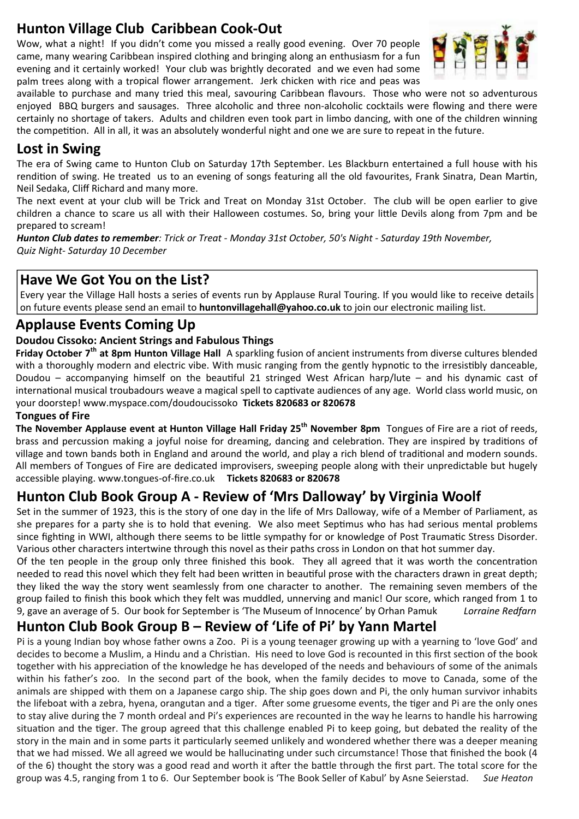#### **Hunton Village Club Caribbean Cook‐Out**

Wow, what a night! If you didn't come you missed a really good evening. Over 70 people came, many wearing Caribbean inspired clothing and bringing along an enthusiasm for a fun evening and it certainly worked! Your club was brightly decorated and we even had some palm trees along with a tropical flower arrangement. Jerk chicken with rice and peas was



available to purchase and many tried this meal, savouring Caribbean flavours. Those who were not so adventurous enjoyed BBQ burgers and sausages. Three alcoholic and three non‐alcoholic cocktails were flowing and there were certainly no shortage of takers. Adults and children even took part in limbo dancing, with one of the children winning the competition. All in all, it was an absolutely wonderful night and one we are sure to repeat in the future.

#### **Lost in Swing**

The era of Swing came to Hunton Club on Saturday 17th September. Les Blackburn entertained a full house with his rendition of swing. He treated us to an evening of songs featuring all the old favourites. Frank Sinatra, Dean Martin, Neil Sedaka, Cliff Richard and many more.

The next event at your club will be Trick and Treat on Monday 31st October. The club will be open earlier to give children a chance to scare us all with their Halloween costumes. So, bring your little Devils along from 7pm and be prepared to scream!

*Hunton Club dates to remember: Trick or Treat ‐ Monday 31st October, 50's Night ‐ Saturday 19th November, Quiz Night‐ Saturday 10 December*

#### **Have We Got You on the List?**

Every year the Village Hall hosts a series of events run by Applause Rural Touring. If you would like to receive details on future events please send an email to **huntonvillagehall@yahoo.co.uk** to join our electronic mailing list.

#### **Applause Events Coming Up**

#### **Doudou Cissoko: Ancient Strings and Fabulous Things**

**Friday October 7th at 8pm Hunton Village Hall** A sparkling fusion of ancient instruments from diverse cultures blended with a thoroughly modern and electric vibe. With music ranging from the gently hypnotic to the irresistibly danceable, Doudou – accompanying himself on the beautiful 21 stringed West African harp/lute – and his dynamic cast of international musical troubadours weave a magical spell to captivate audiences of any age. World class world music, on your doorstep! www.myspace.com/doudoucissoko **Tickets 820683 or 820678**

#### **Tongues of Fire**

**The November Applause event at Hunton Village Hall Friday 25th November 8pm** Tongues of Fire are a riot of reeds, brass and percussion making a joyful noise for dreaming, dancing and celebration. They are inspired by traditions of village and town bands both in England and around the world, and play a rich blend of traditional and modern sounds. All members of Tongues of Fire are dedicated improvisers, sweeping people along with their unpredictable but hugely accessible playing. www.tongues‐of‐fire.co.uk **Tickets 820683 or 820678**

#### **Hunton Club Book Group A ‐ Review of 'Mrs Dalloway' by Virginia Woolf**

Set in the summer of 1923, this is the story of one day in the life of Mrs Dalloway, wife of a Member of Parliament, as she prepares for a party she is to hold that evening. We also meet Septimus who has had serious mental problems since fighting in WWI, although there seems to be little sympathy for or knowledge of Post Traumatic Stress Disorder. Various other characters intertwine through this novel as their paths cross in London on that hot summer day.

Of the ten people in the group only three finished this book. They all agreed that it was worth the concentration needed to read this novel which they felt had been written in beautiful prose with the characters drawn in great depth; they liked the way the story went seamlessly from one character to another. The remaining seven members of the group failed to finish this book which they felt was muddled, unnerving and manic! Our score, which ranged from 1 to 9, gave an average of 5. Our book for September is 'The Museum of Innocence' by Orhan Pamuk *Lorraine Redfarn*

### **Hunton Club Book Group B – Review of 'Life of Pi' by Yann Martel**

Pi is a young Indian boy whose father owns a Zoo. Pi is a young teenager growing up with a yearning to 'love God' and decides to become a Muslim, a Hindu and a Christian. His need to love God is recounted in this first section of the book together with his appreciation of the knowledge he has developed of the needs and behaviours of some of the animals within his father's zoo. In the second part of the book, when the family decides to move to Canada, some of the animals are shipped with them on a Japanese cargo ship. The ship goes down and Pi, the only human survivor inhabits the lifeboat with a zebra, hyena, orangutan and a tiger. After some gruesome events, the tiger and Pi are the only ones to stay alive during the 7 month ordeal and Pi's experiences are recounted in the way he learns to handle his harrowing situation and the tiger. The group agreed that this challenge enabled Pi to keep going, but debated the reality of the story in the main and in some parts it particularly seemed unlikely and wondered whether there was a deeper meaning that we had missed. We all agreed we would be hallucinating under such circumstance! Those that finished the book (4 of the 6) thought the story was a good read and worth it after the battle through the first part. The total score for the group was 4.5, ranging from 1 to 6. Our September book is 'The Book Seller of Kabul' by Asne Seierstad. *Sue Heaton*